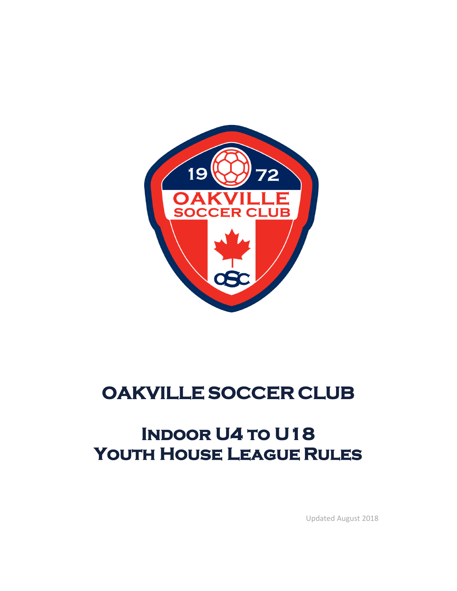

# **OAKVILLE SOCCER CLUB**

# **INDOOR U4 TO U18 Youth House League Rules**

Updated August 2018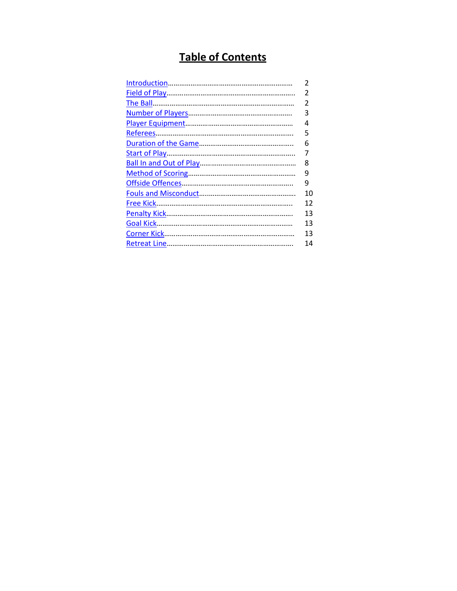# **Table of Contents**

| 2  |
|----|
| 2  |
| 2  |
| 3  |
| 4  |
| 5  |
| 6  |
| 7  |
| 8  |
| 9  |
| 9  |
| 10 |
| 12 |
| 13 |
| 13 |
| 13 |
| 14 |
|    |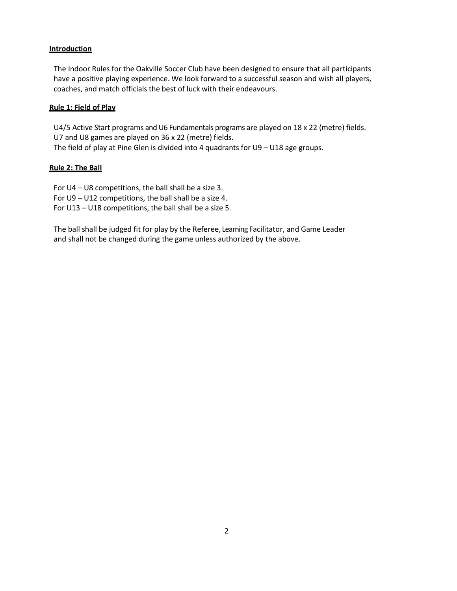#### <span id="page-2-0"></span>**Introduction**

The Indoor Rules for the Oakville Soccer Club have been designed to ensure that all participants have a positive playing experience. We look forward to a successful season and wish all players, coaches, and match officials the best of luck with their endeavours.

#### <span id="page-2-1"></span>**Rule 1: Field of Play**

U4/5 Active Start programs and U6 Fundamentals programs are played on 18 x 22 (metre) fields. U7 and U8 games are played on 36 x 22 (metre) fields. The field of play at Pine Glen is divided into 4 quadrants for U9 – U18 age groups.

# <span id="page-2-2"></span>**Rule 2: The Ball**

For U4 – U8 competitions, the ball shall be a size 3. For U9 – U12 competitions, the ball shall be a size 4. For U13 – U18 competitions, the ball shall be a size 5.

The ball shall be judged fit for play by the Referee, Learning Facilitator, and Game Leader and shall not be changed during the game unless authorized by the above.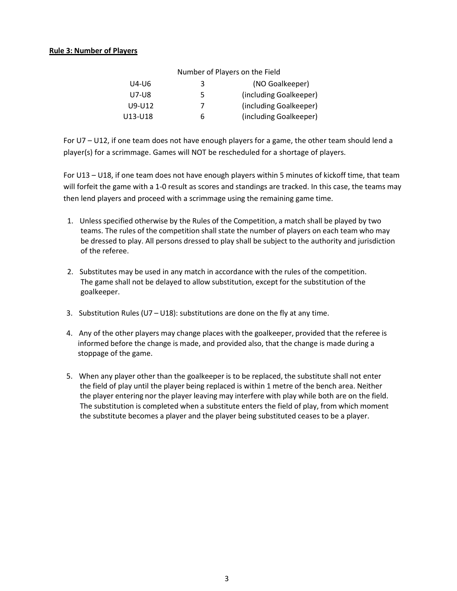#### <span id="page-3-0"></span>**Rule 3: Number of Players**

| Number of Players on the Field |   |                        |  |
|--------------------------------|---|------------------------|--|
| U4-U6                          | 3 | (NO Goalkeeper)        |  |
| U7-U8                          | 5 | (including Goalkeeper) |  |
| $U9-U12$                       | 7 | (including Goalkeeper) |  |
| U13-U18                        | 6 | (including Goalkeeper) |  |

For U7 – U12, if one team does not have enough players for a game, the other team should lend a player(s) for a scrimmage. Games will NOT be rescheduled for a shortage of players.

For U13 – U18, if one team does not have enough players within 5 minutes of kickoff time, that team will forfeit the game with a 1-0 result as scores and standings are tracked. In this case, the teams may then lend players and proceed with a scrimmage using the remaining game time.

- 1. Unless specified otherwise by the Rules of the Competition, a match shall be played by two teams. The rules of the competition shall state the number of players on each team who may be dressed to play. All persons dressed to play shall be subject to the authority and jurisdiction of the referee.
- 2. Substitutes may be used in any match in accordance with the rules of the competition. The game shall not be delayed to allow substitution, except for the substitution of the goalkeeper.
- 3. Substitution Rules (U7 U18): substitutions are done on the fly at any time.
- 4. Any of the other players may change places with the goalkeeper, provided that the referee is informed before the change is made, and provided also, that the change is made during a stoppage of the game.
- 5. When any player other than the goalkeeper is to be replaced, the substitute shall not enter the field of play until the player being replaced is within 1 metre of the bench area. Neither the player entering nor the player leaving may interfere with play while both are on the field. The substitution is completed when a substitute enters the field of play, from which moment the substitute becomes a player and the player being substituted ceases to be a player.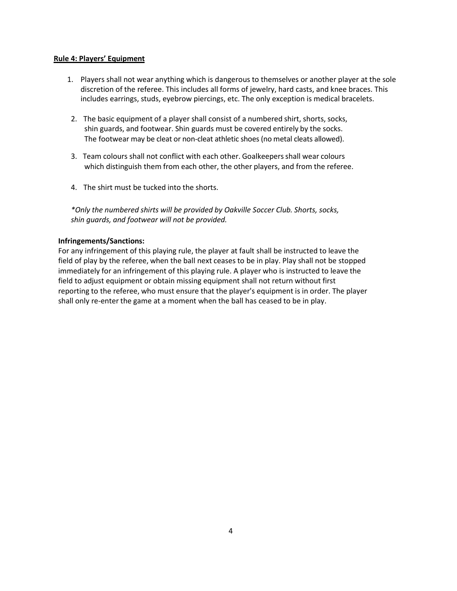#### <span id="page-4-0"></span>**Rule 4: Players' Equipment**

- 1. Players shall not wear anything which is dangerous to themselves or another player at the sole discretion of the referee. This includes all forms of jewelry, hard casts, and knee braces. This includes earrings, studs, eyebrow piercings, etc. The only exception is medical bracelets.
- 2. The basic equipment of a player shall consist of a numbered shirt, shorts, socks, shin guards, and footwear. Shin guards must be covered entirely by the socks. The footwear may be cleat or non-cleat athletic shoes (no metal cleats allowed).
- 3. Team colours shall not conflict with each other. Goalkeepersshall wear colours which distinguish them from each other, the other players, and from the referee.
- 4. The shirt must be tucked into the shorts.

*\*Only the numbered shirts will be provided by Oakville Soccer Club. Shorts, socks, shin guards, and footwear will not be provided.*

# **Infringements/Sanctions:**

<span id="page-4-1"></span>For any infringement of this playing rule, the player at fault shall be instructed to leave the field of play by the referee, when the ball next ceases to be in play. Play shall not be stopped immediately for an infringement of this playing rule. A player who is instructed to leave the field to adjust equipment or obtain missing equipment shall not return without first reporting to the referee, who must ensure that the player's equipment is in order. The player shall only re-enter the game at a moment when the ball has ceased to be in play.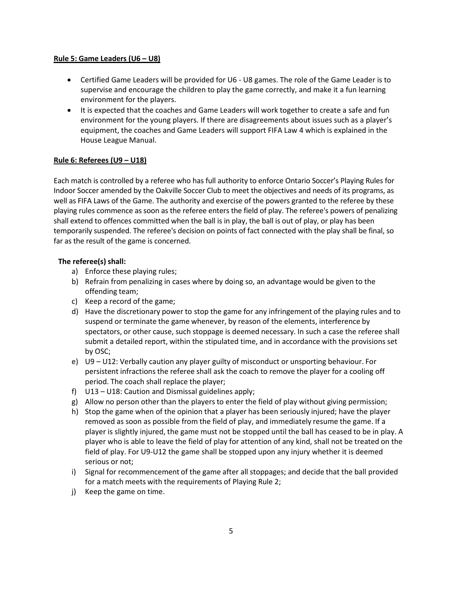#### **Rule 5: Game Leaders (U6 – U8)**

- Certified Game Leaders will be provided for U6 U8 games. The role of the Game Leader is to supervise and encourage the children to play the game correctly, and make it a fun learning environment for the players.
- It is expected that the coaches and Game Leaders will work together to create a safe and fun environment for the young players. If there are disagreements about issues such as a player's equipment, the coaches and Game Leaders will support FIFA Law 4 which is explained in the House League Manual.

# **Rule 6: Referees (U9 – U18)**

Each match is controlled by a referee who has full authority to enforce Ontario Soccer's Playing Rules for Indoor Soccer amended by the Oakville Soccer Club to meet the objectives and needs of its programs, as well as FIFA Laws of the Game. The authority and exercise of the powers granted to the referee by these playing rules commence as soon as the referee enters the field of play. The referee's powers of penalizing shall extend to offences committed when the ball is in play, the ball is out of play, or play has been temporarily suspended. The referee's decision on points of fact connected with the play shall be final, so far as the result of the game is concerned.

# **The referee(s) shall:**

- a) Enforce these playing rules;
- b) Refrain from penalizing in cases where by doing so, an advantage would be given to the offending team;
- c) Keep a record of the game;
- d) Have the discretionary power to stop the game for any infringement of the playing rules and to suspend or terminate the game whenever, by reason of the elements, interference by spectators, or other cause, such stoppage is deemed necessary. In such a case the referee shall submit a detailed report, within the stipulated time, and in accordance with the provisions set by OSC;
- e) U9 U12: Verbally caution any player guilty of misconduct or unsporting behaviour. For persistent infractions the referee shall ask the coach to remove the player for a cooling off period. The coach shall replace the player;
- f) U13 U18: Caution and Dismissal guidelines apply;
- g) Allow no person other than the players to enter the field of play without giving permission;
- h) Stop the game when of the opinion that a player has been seriously injured; have the player removed as soon as possible from the field of play, and immediately resume the game. If a player is slightly injured, the game must not be stopped until the ball has ceased to be in play. A player who is able to leave the field of play for attention of any kind, shall not be treated on the field of play. For U9-U12 the game shall be stopped upon any injury whether it is deemed serious or not;
- i) Signal for recommencement of the game after all stoppages; and decide that the ball provided for a match meets with the requirements of Playing Rule 2;
- <span id="page-5-0"></span>j) Keep the game on time.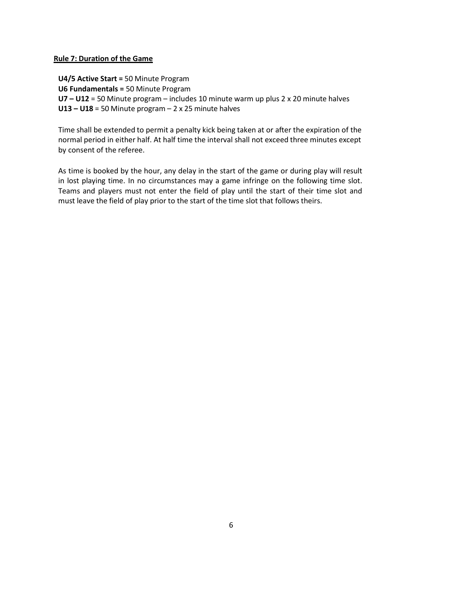#### **Rule 7: Duration of the Game**

**U4/5 Active Start =** 50 Minute Program **U6 Fundamentals =** 50 Minute Program **U7 – U12** = 50 Minute program – includes 10 minute warm up plus 2 x 20 minute halves **U13 – U18** = 50 Minute program – 2 x 25 minute halves

Time shall be extended to permit a penalty kick being taken at or after the expiration of the normal period in either half. At half time the interval shall not exceed three minutes except by consent of the referee.

As time is booked by the hour, any delay in the start of the game or during play will result in lost playing time. In no circumstances may a game infringe on the following time slot. Teams and players must not enter the field of play until the start of their time slot and must leave the field of play prior to the start of the time slot that follows theirs.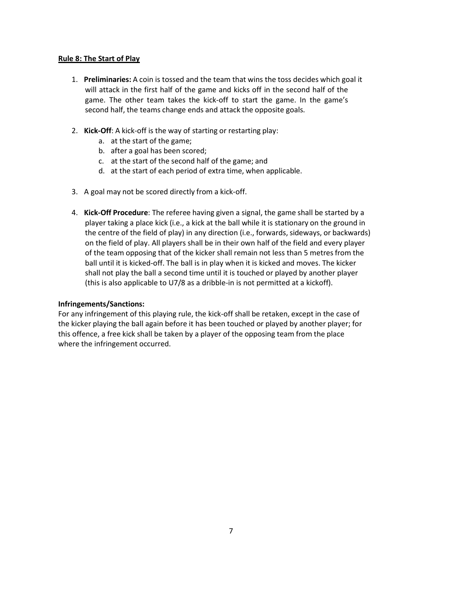#### <span id="page-7-0"></span>**Rule 8: The Start of Play**

- 1. **Preliminaries:** A coin is tossed and the team that wins the toss decides which goal it will attack in the first half of the game and kicks off in the second half of the game. The other team takes the kick-off to start the game. In the game's second half, the teams change ends and attack the opposite goals.
- 2. **Kick-Off**: A kick-off is the way of starting or restarting play:
	- a. at the start of the game;
	- b. after a goal has been scored;
	- c. at the start of the second half of the game; and
	- d. at the start of each period of extra time, when applicable.
- 3. A goal may not be scored directly from a kick-off.
- 4. **Kick-Off Procedure**: The referee having given a signal, the game shall be started by a player taking a place kick (i.e., a kick at the ball while it is stationary on the ground in the centre of the field of play) in any direction (i.e., forwards, sideways, or backwards) on the field of play. All players shall be in their own half of the field and every player of the team opposing that of the kicker shall remain not less than 5 metresfrom the ball until it is kicked-off. The ball is in play when it is kicked and moves. The kicker shall not play the ball a second time until it is touched or played by another player (this is also applicable to U7/8 as a dribble-in is not permitted at a kickoff).

#### **Infringements/Sanctions:**

<span id="page-7-1"></span>For any infringement of this playing rule, the kick-off shall be retaken, except in the case of the kicker playing the ball again before it has been touched or played by another player; for this offence, a free kick shall be taken by a player of the opposing team from the place where the infringement occurred.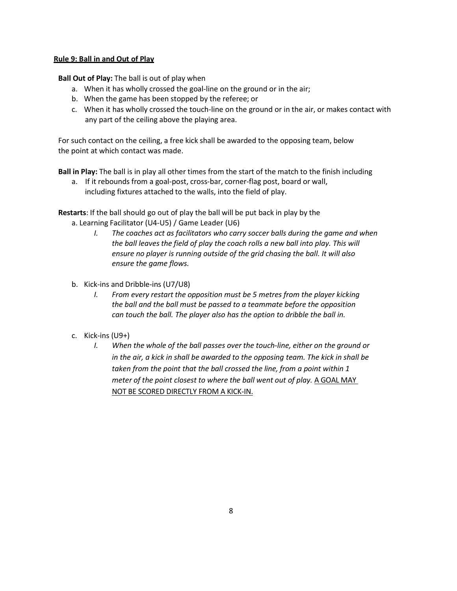# **Rule 9: Ball in and Out of Play**

**Ball Out of Play:** The ball is out of play when

- a. When it has wholly crossed the goal-line on the ground or in the air;
- b. When the game has been stopped by the referee; or
- c. When it has wholly crossed the touch-line on the ground or in the air, or makes contact with any part of the ceiling above the playing area.

For such contact on the ceiling, a free kick shall be awarded to the opposing team, below the point at which contact was made.

**Ball in Play:** The ball is in play all other times from the start of the match to the finish including

a. If it rebounds from a goal-post, cross-bar, corner-flag post, board or wall, including fixtures attached to the walls, into the field of play.

**Restarts**: If the ball should go out of play the ball will be put back in play by the a. Learning Facilitator (U4-U5) / Game Leader (U6)

- *I. The coaches act as facilitators who carry soccer balls during the game and when the ball leaves the field of play the coach rolls a new ball into play. This will ensure no player is running outside of the grid chasing the ball. It will also ensure the game flows.*
- b. Kick-ins and Dribble-ins (U7/U8)
	- *I. From every restart the opposition must be 5 metres from the player kicking the ball and the ball must be passed to a teammate before the opposition can touch the ball. The player also has the option to dribble the ball in.*
- <span id="page-8-0"></span>c. Kick-ins (U9+)
	- *I. When the whole of the ball passes over the touch-line, either on the ground or in the air, a kick in shall be awarded to the opposing team. The kick in shall be taken from the point that the ball crossed the line, from a point within 1 meter of the point closest to where the ball went out of play.* A GOAL MAY NOT BE SCORED DIRECTLY FROM A KICK-IN.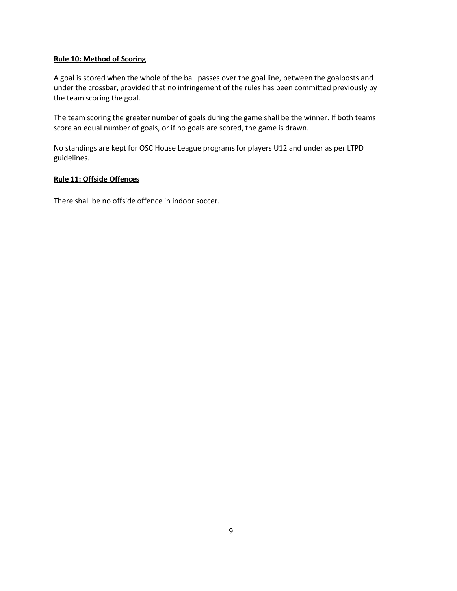# **Rule 10: Method of Scoring**

A goal is scored when the whole of the ball passes over the goal line, between the goalposts and under the crossbar, provided that no infringement of the rules has been committed previously by the team scoring the goal.

The team scoring the greater number of goals during the game shall be the winner. If both teams score an equal number of goals, or if no goals are scored, the game is drawn.

No standings are kept for OSC House League programsfor players U12 and under as per LTPD guidelines.

# <span id="page-9-0"></span>**Rule 11: Offside Offences**

There shall be no offside offence in indoor soccer.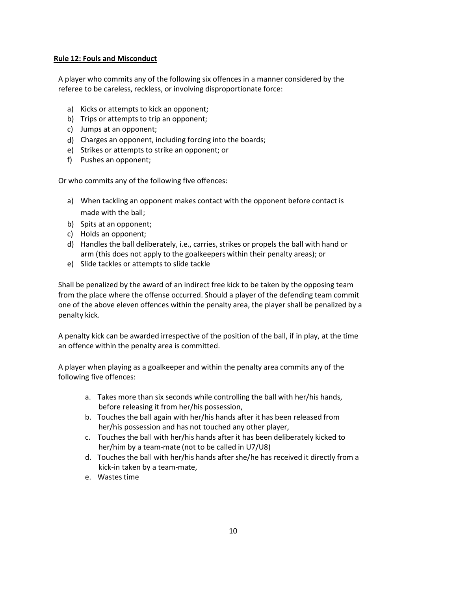#### <span id="page-10-0"></span>**Rule 12: Fouls and Misconduct**

A player who commits any of the following six offences in a manner considered by the referee to be careless, reckless, or involving disproportionate force:

- a) Kicks or attempts to kick an opponent;
- b) Trips or attempts to trip an opponent;
- c) Jumps at an opponent;
- d) Charges an opponent, including forcing into the boards;
- e) Strikes or attempts to strike an opponent; or
- f) Pushes an opponent;

Or who commits any of the following five offences:

- a) When tackling an opponent makes contact with the opponent before contact is made with the ball;
- b) Spits at an opponent;
- c) Holds an opponent;
- d) Handles the ball deliberately, i.e., carries, strikes or propels the ball with hand or arm (this does not apply to the goalkeepers within their penalty areas); or
- e) Slide tackles or attempts to slide tackle

Shall be penalized by the award of an indirect free kick to be taken by the opposing team from the place where the offense occurred. Should a player of the defending team commit one of the above eleven offences within the penalty area, the player shall be penalized by a penalty kick.

A penalty kick can be awarded irrespective of the position of the ball, if in play, at the time an offence within the penalty area is committed.

A player when playing as a goalkeeper and within the penalty area commits any of the following five offences:

- a. Takes more than six seconds while controlling the ball with her/his hands, before releasing it from her/his possession,
- b. Touches the ball again with her/his hands after it has been released from her/his possession and has not touched any other player,
- c. Touches the ball with her/his hands after it has been deliberately kicked to her/him by a team-mate (not to be called in U7/U8)
- d. Touches the ball with her/his hands after she/he has received it directly from a kick-in taken by a team-mate,
- e. Wastes time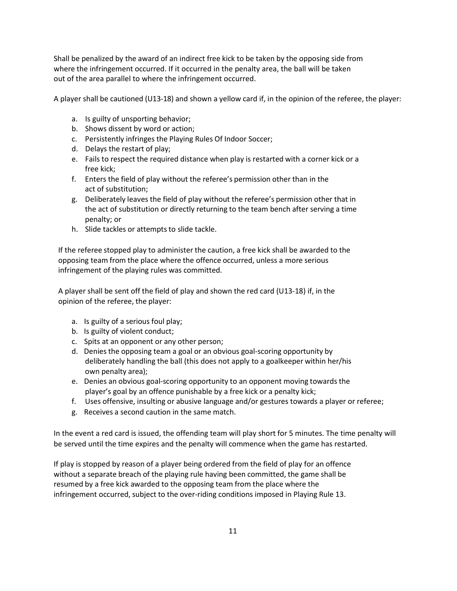Shall be penalized by the award of an indirect free kick to be taken by the opposing side from where the infringement occurred. If it occurred in the penalty area, the ball will be taken out of the area parallel to where the infringement occurred.

A player shall be cautioned (U13-18) and shown a yellow card if, in the opinion of the referee, the player:

- a. Is guilty of unsporting behavior;
- b. Shows dissent by word or action;
- c. Persistently infringes the Playing Rules Of Indoor Soccer;
- d. Delays the restart of play;
- e. Fails to respect the required distance when play is restarted with a corner kick or a free kick;
- f. Enters the field of play without the referee's permission other than in the act of substitution;
- g. Deliberately leaves the field of play without the referee's permission other that in the act of substitution or directly returning to the team bench after serving a time penalty; or
- h. Slide tackles or attempts to slide tackle.

If the referee stopped play to administer the caution, a free kick shall be awarded to the opposing team from the place where the offence occurred, unless a more serious infringement of the playing rules was committed.

A player shall be sent off the field of play and shown the red card (U13-18) if, in the opinion of the referee, the player:

- a. Is guilty of a serious foul play;
- b. Is guilty of violent conduct;
- c. Spits at an opponent or any other person;
- d. Denies the opposing team a goal or an obvious goal-scoring opportunity by deliberately handling the ball (this does not apply to a goalkeeper within her/his own penalty area);
- e. Denies an obvious goal-scoring opportunity to an opponent moving towards the player's goal by an offence punishable by a free kick or a penalty kick;
- f. Uses offensive, insulting or abusive language and/or gestures towards a player or referee;
- g. Receives a second caution in the same match.

In the event a red card is issued, the offending team will play short for 5 minutes. The time penalty will be served until the time expires and the penalty will commence when the game has restarted.

<span id="page-11-0"></span>If play is stopped by reason of a player being ordered from the field of play for an offence without a separate breach of the playing rule having been committed, the game shall be resumed by a free kick awarded to the opposing team from the place where the infringement occurred, subject to the over-riding conditions imposed in Playing Rule 13.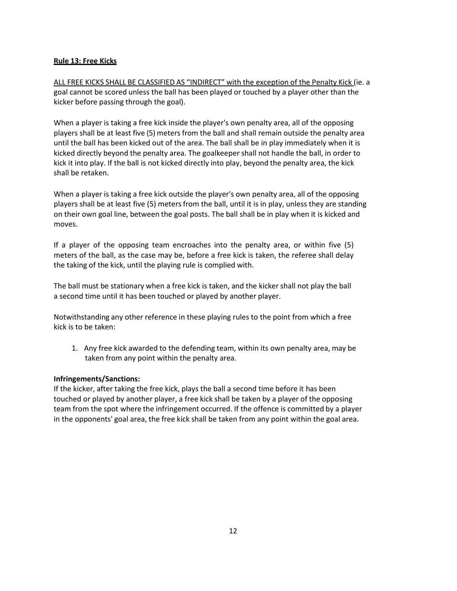#### **Rule 13: Free Kicks**

ALL FREE KICKS SHALL BE CLASSIFIED AS "INDIRECT" with the exception of the Penalty Kick (ie. a goal cannot be scored unless the ball has been played or touched by a player other than the kicker before passing through the goal).

When a player is taking a free kick inside the player's own penalty area, all of the opposing players shall be at least five (5) meters from the ball and shall remain outside the penalty area until the ball has been kicked out of the area. The ball shall be in play immediately when it is kicked directly beyond the penalty area. The goalkeeper shall not handle the ball, in order to kick it into play. If the ball is not kicked directly into play, beyond the penalty area, the kick shall be retaken.

When a player is taking a free kick outside the player's own penalty area, all of the opposing players shall be at least five (5) meters from the ball, until it is in play, unless they are standing on their own goal line, between the goal posts. The ball shall be in play when it is kicked and moves.

If a player of the opposing team encroaches into the penalty area, or within five (5) meters of the ball, as the case may be, before a free kick is taken, the referee shall delay the taking of the kick, until the playing rule is complied with.

The ball must be stationary when a free kick is taken, and the kickershall not play the ball a second time until it has been touched or played by another player.

Notwithstanding any other reference in these playing rules to the point from which a free kick is to be taken:

1. Any free kick awarded to the defending team, within its own penalty area, may be taken from any point within the penalty area.

#### **Infringements/Sanctions:**

If the kicker, after taking the free kick, plays the ball a second time before it has been touched or played by another player, a free kick shall be taken by a player of the opposing team from the spot where the infringement occurred. If the offence is committed by a player in the opponents' goal area, the free kick shall be taken from any point within the goal area.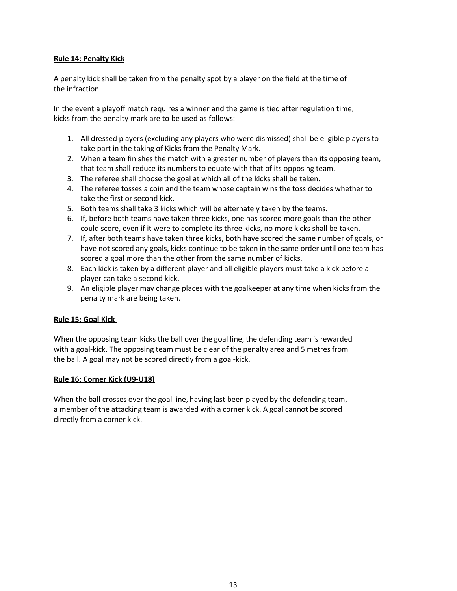# <span id="page-13-0"></span>**Rule 14: Penalty Kick**

A penalty kick shall be taken from the penalty spot by a player on the field at the time of the infraction.

In the event a playoff match requires a winner and the game is tied after regulation time, kicks from the penalty mark are to be used as follows:

- 1. All dressed players (excluding any players who were dismissed) shall be eligible players to take part in the taking of Kicks from the Penalty Mark.
- 2. When a team finishes the match with a greater number of players than its opposing team, that team shall reduce its numbers to equate with that of its opposing team.
- 3. The referee shall choose the goal at which all of the kicks shall be taken.
- 4. The referee tosses a coin and the team whose captain wins the toss decides whether to take the first or second kick.
- 5. Both teams shall take 3 kicks which will be alternately taken by the teams.
- 6. If, before both teams have taken three kicks, one has scored more goals than the other could score, even if it were to complete its three kicks, no more kicks shall be taken.
- 7. If, after both teams have taken three kicks, both have scored the same number of goals, or have not scored any goals, kicks continue to be taken in the same order until one team has scored a goal more than the other from the same number of kicks.
- 8. Each kick is taken by a different player and all eligible players must take a kick before a player can take a second kick.
- 9. An eligible player may change places with the goalkeeper at any time when kicks from the penalty mark are being taken.

# <span id="page-13-1"></span>**Rule 15: Goal Kick**

When the opposing team kicks the ball over the goal line, the defending team is rewarded with a goal-kick. The opposing team must be clear of the penalty area and 5 metres from the ball. A goal may not be scored directly from a goal-kick.

# <span id="page-13-2"></span>**Rule 16: Corner Kick (U9-U18)**

When the ball crosses over the goal line, having last been played by the defending team, a member of the attacking team is awarded with a corner kick. A goal cannot be scored directly from a corner kick.